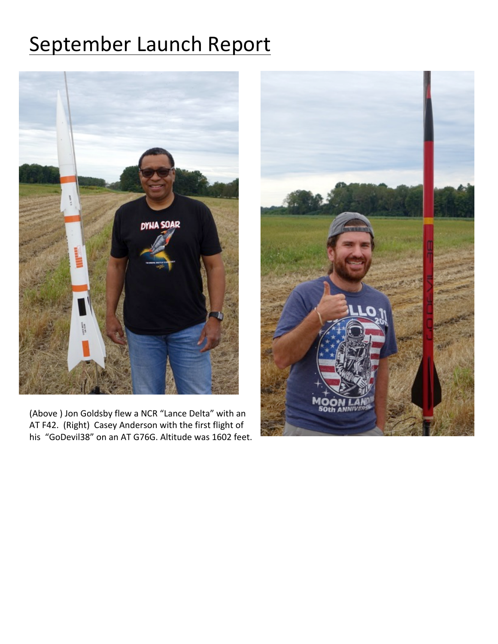## September Launch Report



(Above ) Jon Goldsby flew a NCR "Lance Delta" with an AT F42. (Right) Casey Anderson with the first flight of his "GoDevil38" on an AT G76G. Altitude was 1602 feet.

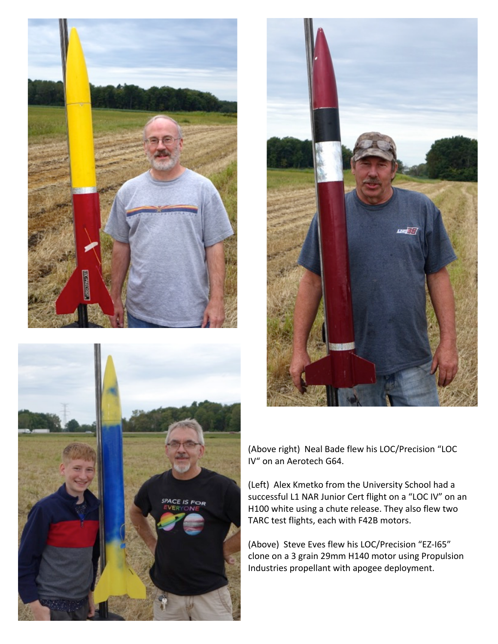





(Above right) Neal Bade flew his LOC/Precision "LOC IV" on an Aerotech G64.

(Left) Alex Kmetko from the University School had a successful L1 NAR Junior Cert flight on a "LOC IV" on an H100 white using a chute release. They also flew two TARC test flights, each with F42B motors.

(Above) Steve Eves flew his LOC/Precision "EZ-I65" clone on a 3 grain 29mm H140 motor using Propulsion Industries propellant with apogee deployment.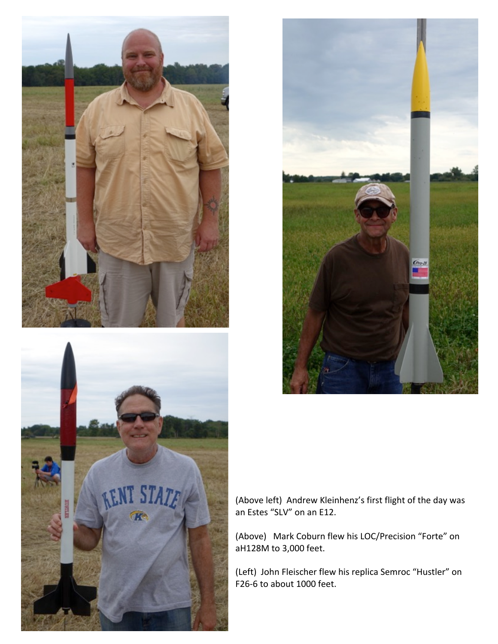





(Above left) Andrew Kleinhenz's first flight of the day was an Estes "SLV" on an E12.

(Above) Mark Coburn flew his LOC/Precision "Forte" on aH128M to 3,000 feet.

(Left) John Fleischer flew his replica Semroc "Hustler" on F26-6 to about 1000 feet.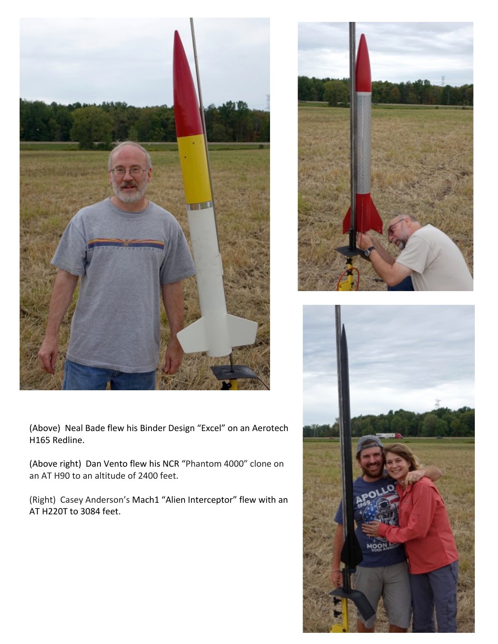



(Above) Neal Bade flew his Binder Design "Excel" on an Aerotech H165 Redline.

(Above right) Dan Vento flew his NCR "Phantom 4000" clone on an AT H90 to an altitude of 2400 feet.

(Right) Casey Anderson's Mach1 "Alien Interceptor" flew with an AT H220T to 3084 feet.

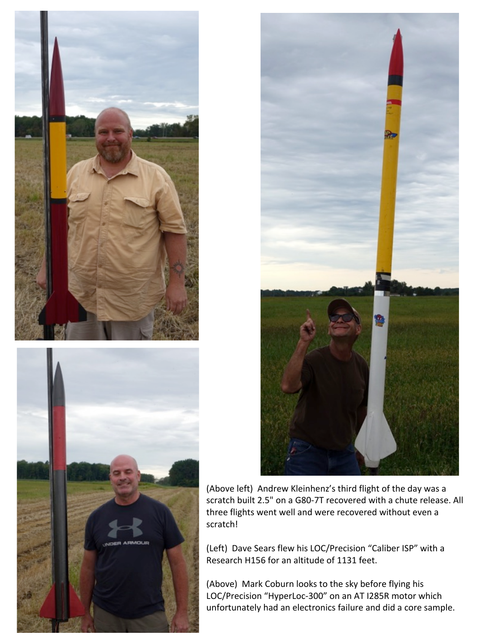





(Above left) Andrew Kleinhenz's third flight of the day was a scratch built 2.5" on a G80-7T recovered with a chute release. All three flights went well and were recovered without even a scratch!

(Left) Dave Sears flew his LOC/Precision "Caliber ISP" with a Research H156 for an altitude of 1131 feet.

(Above) Mark Coburn looks to the sky before flying his LOC/Precision "HyperLoc-300" on an AT I285R motor which unfortunately had an electronics failure and did a core sample.